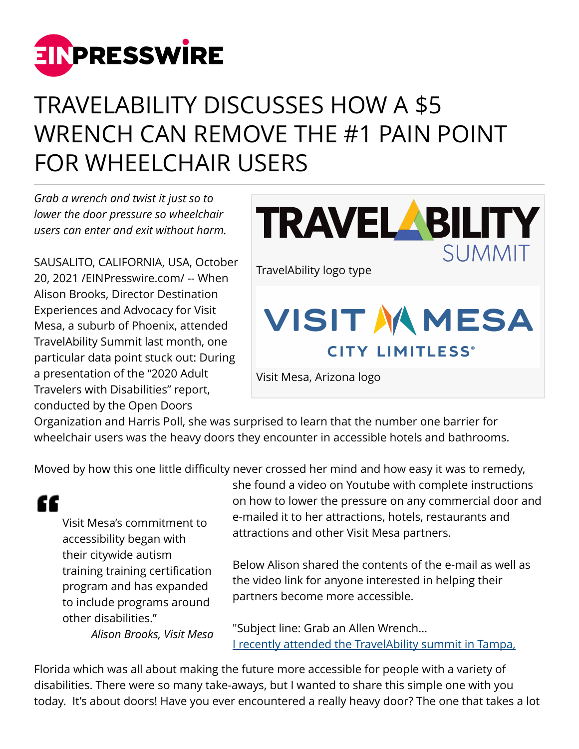

## TRAVELABILITY DISCUSSES HOW A \$5 WRENCH CAN REMOVE THE #1 PAIN POINT FOR WHEELCHAIR USERS

*Grab a wrench and twist it just so to lower the door pressure so wheelchair users can enter and exit without harm.*

SAUSALITO, CALIFORNIA, USA, October 20, 2021 /[EINPresswire.com/](http://www.einpresswire.com) -- When Alison Brooks, Director Destination Experiences and Advocacy for Visit Mesa, a suburb of Phoenix, attended TravelAbility Summit last month, one particular data point stuck out: During a presentation of the "2020 Adult Travelers with Disabilities" report, conducted by the Open Doors



Organization and Harris Poll, she was surprised to learn that the number one barrier for wheelchair users was the heavy doors they encounter in accessible hotels and bathrooms.

Moved by how this one little difficulty never crossed her mind and how easy it was to remedy,

"

Visit Mesa's commitment to accessibility began with their citywide autism training training certification program and has expanded to include programs around other disabilities."

*Alison Brooks, Visit Mesa*

she found a video on Youtube with complete instructions on how to lower the pressure on any commercial door and e-mailed it to her attractions, hotels, restaurants and attractions and other Visit Mesa partners.

Below Alison shared the contents of the e-mail as well as the video link for anyone interested in helping their partners become more accessible.

"Subject line: Grab an Allen Wrench… [I recently attended the TravelAbility summit in Tampa,](http://www.travelabilitysummit.com)

Florida which was all about making the future more accessible for people with a variety of disabilities. There were so many take-aways, but I wanted to share this simple one with you today. It's about doors! Have you ever encountered a really heavy door? The one that takes a lot